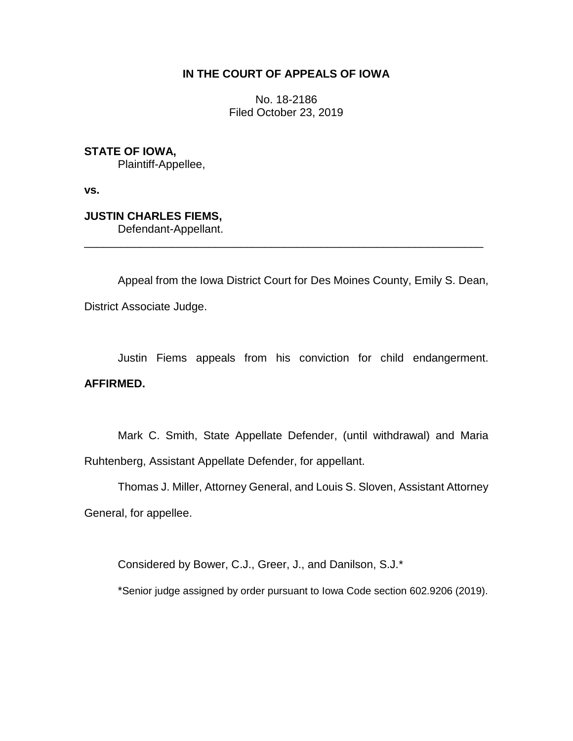## **IN THE COURT OF APPEALS OF IOWA**

No. 18-2186 Filed October 23, 2019

**STATE OF IOWA,** Plaintiff-Appellee,

**vs.**

**JUSTIN CHARLES FIEMS,** Defendant-Appellant.

Appeal from the Iowa District Court for Des Moines County, Emily S. Dean, District Associate Judge.

\_\_\_\_\_\_\_\_\_\_\_\_\_\_\_\_\_\_\_\_\_\_\_\_\_\_\_\_\_\_\_\_\_\_\_\_\_\_\_\_\_\_\_\_\_\_\_\_\_\_\_\_\_\_\_\_\_\_\_\_\_\_\_\_

Justin Fiems appeals from his conviction for child endangerment. **AFFIRMED.**

Mark C. Smith, State Appellate Defender, (until withdrawal) and Maria Ruhtenberg, Assistant Appellate Defender, for appellant.

Thomas J. Miller, Attorney General, and Louis S. Sloven, Assistant Attorney General, for appellee.

Considered by Bower, C.J., Greer, J., and Danilson, S.J.\*

\*Senior judge assigned by order pursuant to Iowa Code section 602.9206 (2019).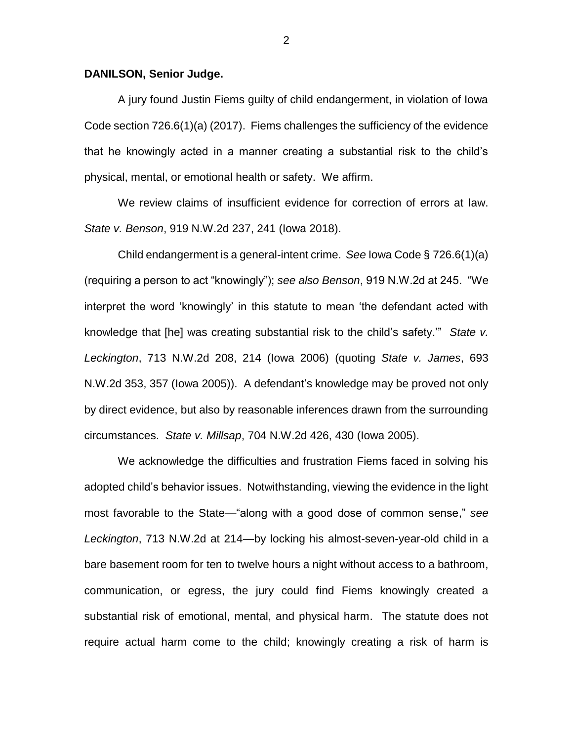## **DANILSON, Senior Judge.**

A jury found Justin Fiems guilty of child endangerment, in violation of Iowa Code section 726.6(1)(a) (2017). Fiems challenges the sufficiency of the evidence that he knowingly acted in a manner creating a substantial risk to the child's physical, mental, or emotional health or safety. We affirm.

We review claims of insufficient evidence for correction of errors at law. *State v. Benson*, 919 N.W.2d 237, 241 (Iowa 2018).

Child endangerment is a general-intent crime. *See* Iowa Code § 726.6(1)(a) (requiring a person to act "knowingly"); *see also Benson*, 919 N.W.2d at 245. "We interpret the word 'knowingly' in this statute to mean 'the defendant acted with knowledge that [he] was creating substantial risk to the child's safety.'" *State v. Leckington*, 713 N.W.2d 208, 214 (Iowa 2006) (quoting *State v. James*, 693 N.W.2d 353, 357 (Iowa 2005)). A defendant's knowledge may be proved not only by direct evidence, but also by reasonable inferences drawn from the surrounding circumstances. *State v. Millsap*, 704 N.W.2d 426, 430 (Iowa 2005).

We acknowledge the difficulties and frustration Fiems faced in solving his adopted child's behavior issues. Notwithstanding, viewing the evidence in the light most favorable to the State—"along with a good dose of common sense," *see Leckington*, 713 N.W.2d at 214*—*by locking his almost-seven-year-old child in a bare basement room for ten to twelve hours a night without access to a bathroom, communication, or egress, the jury could find Fiems knowingly created a substantial risk of emotional, mental, and physical harm. The statute does not require actual harm come to the child; knowingly creating a risk of harm is